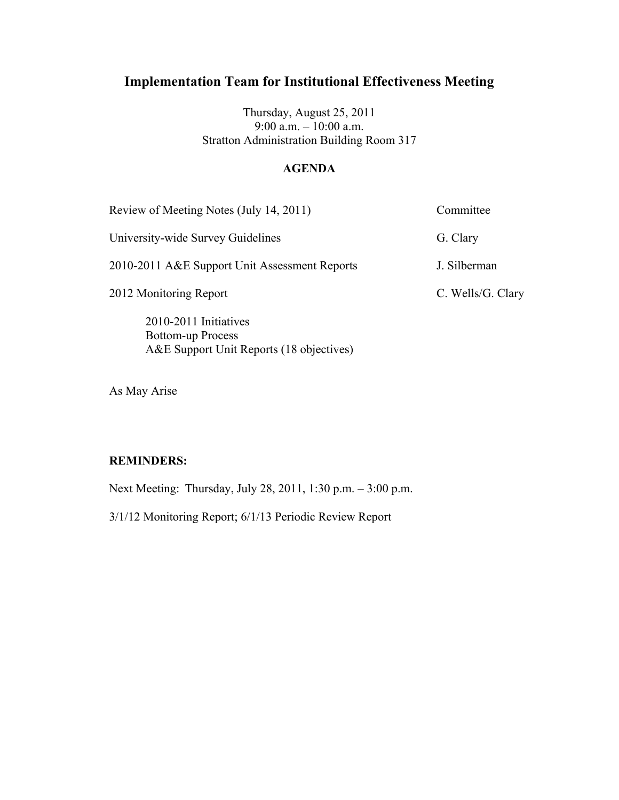Thursday, August 25, 2011 9:00 a.m. – 10:00 a.m. Stratton Administration Building Room 317

#### **AGENDA**

| Review of Meeting Notes (July 14, 2011)           | Committee         |
|---------------------------------------------------|-------------------|
| University-wide Survey Guidelines                 | G. Clary          |
| 2010-2011 A&E Support Unit Assessment Reports     | J. Silberman      |
| 2012 Monitoring Report                            | C. Wells/G. Clary |
| 2010-2011 Initiatives<br><b>Bottom-up Process</b> |                   |

As May Arise

#### **REMINDERS:**

Next Meeting: Thursday, July 28, 2011, 1:30 p.m. – 3:00 p.m.

3/1/12 Monitoring Report; 6/1/13 Periodic Review Report

A&E Support Unit Reports (18 objectives)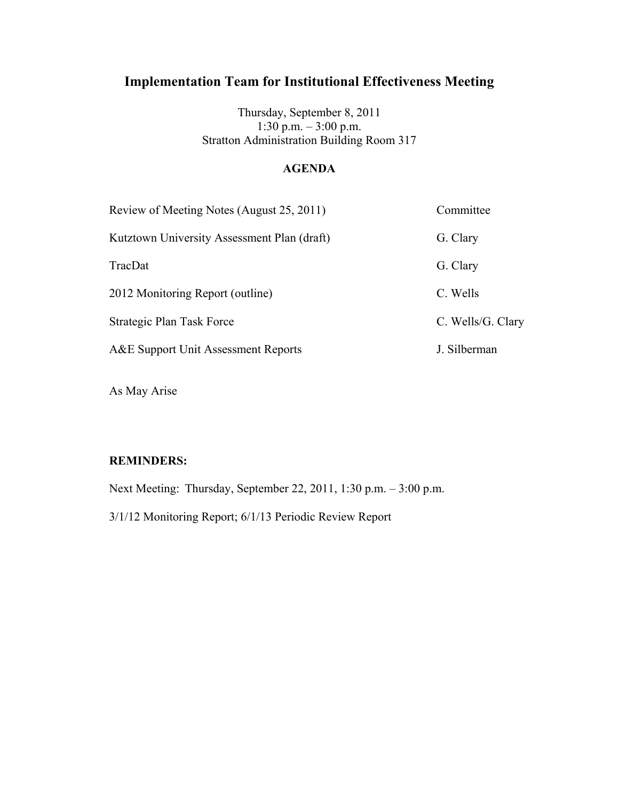Thursday, September 8, 2011 1:30 p.m. – 3:00 p.m. Stratton Administration Building Room 317

### **AGENDA**

| Review of Meeting Notes (August 25, 2011)   | Committee         |
|---------------------------------------------|-------------------|
| Kutztown University Assessment Plan (draft) | G. Clary          |
| TracDat                                     | G. Clary          |
| 2012 Monitoring Report (outline)            | C. Wells          |
| Strategic Plan Task Force                   | C. Wells/G. Clary |
| A&E Support Unit Assessment Reports         | J. Silberman      |

As May Arise

#### **REMINDERS:**

Next Meeting: Thursday, September 22, 2011, 1:30 p.m. – 3:00 p.m.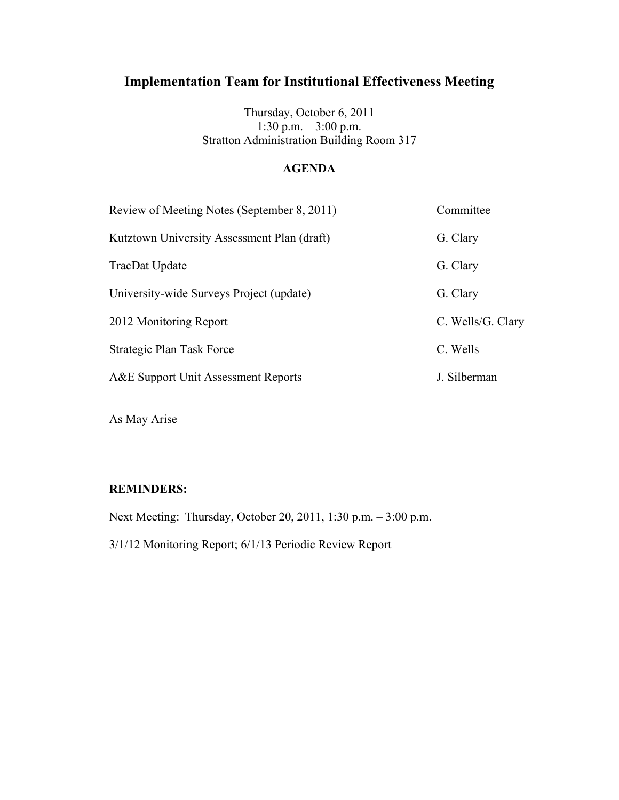Thursday, October 6, 2011 1:30 p.m. – 3:00 p.m. Stratton Administration Building Room 317

### **AGENDA**

| Review of Meeting Notes (September 8, 2011) | Committee         |
|---------------------------------------------|-------------------|
| Kutztown University Assessment Plan (draft) | G. Clary          |
| TracDat Update                              | G. Clary          |
| University-wide Surveys Project (update)    | G. Clary          |
| 2012 Monitoring Report                      | C. Wells/G. Clary |
| Strategic Plan Task Force                   | C. Wells          |
| A&E Support Unit Assessment Reports         | J. Silberman      |
|                                             |                   |

As May Arise

#### **REMINDERS:**

Next Meeting: Thursday, October 20, 2011, 1:30 p.m. – 3:00 p.m.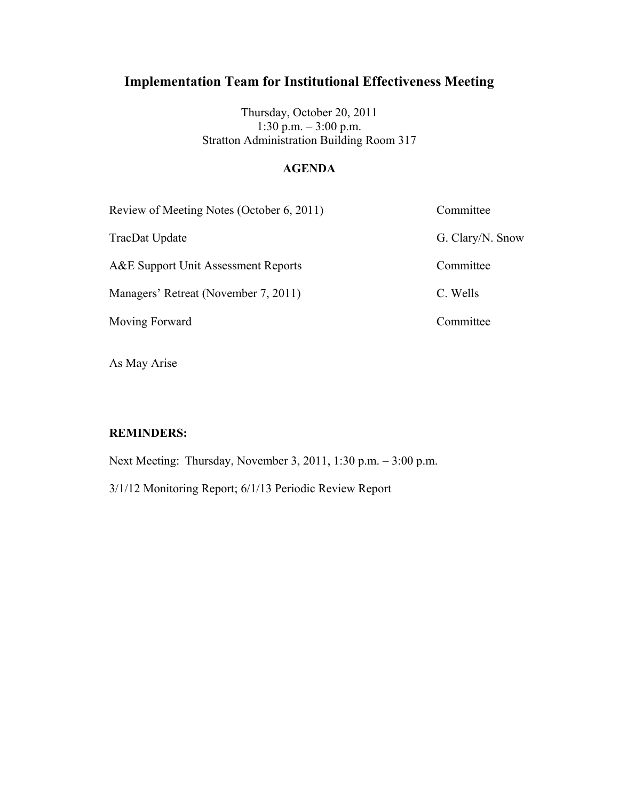Thursday, October 20, 2011 1:30 p.m. – 3:00 p.m. Stratton Administration Building Room 317

## **AGENDA**

| Review of Meeting Notes (October 6, 2011) | Committee        |
|-------------------------------------------|------------------|
| TracDat Update                            | G. Clary/N. Snow |
| A&E Support Unit Assessment Reports       | Committee        |
| Managers' Retreat (November 7, 2011)      | C. Wells         |
| Moving Forward                            | Committee        |

As May Arise

#### **REMINDERS:**

Next Meeting: Thursday, November 3, 2011, 1:30 p.m. – 3:00 p.m.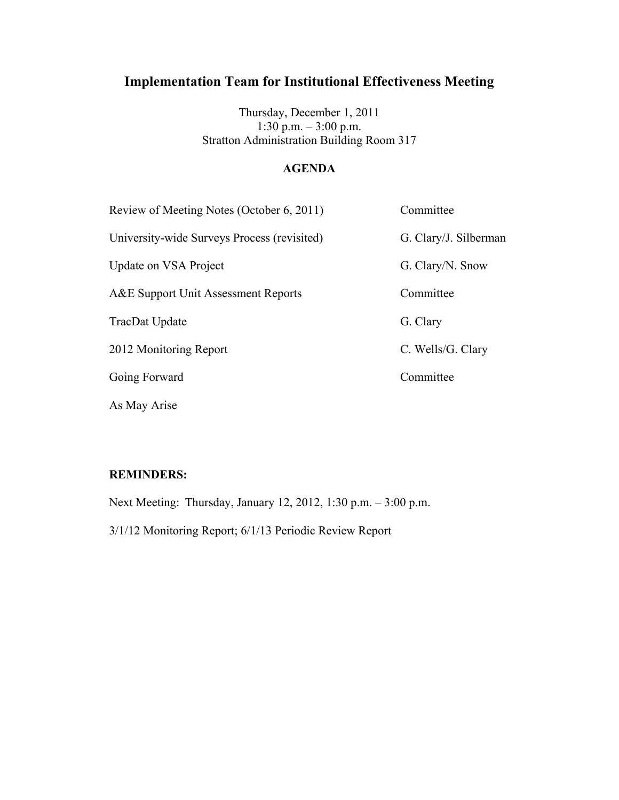Thursday, December 1, 2011 1:30 p.m. – 3:00 p.m. Stratton Administration Building Room 317

### **AGENDA**

| Review of Meeting Notes (October 6, 2011)   | Committee             |
|---------------------------------------------|-----------------------|
| University-wide Surveys Process (revisited) | G. Clary/J. Silberman |
| Update on VSA Project                       | G. Clary/N. Snow      |
| A&E Support Unit Assessment Reports         | Committee             |
| TracDat Update                              | G. Clary              |
| 2012 Monitoring Report                      | C. Wells/G. Clary     |
| Going Forward                               | Committee             |
| As May Arise                                |                       |

### **REMINDERS:**

Next Meeting: Thursday, January 12, 2012, 1:30 p.m. – 3:00 p.m.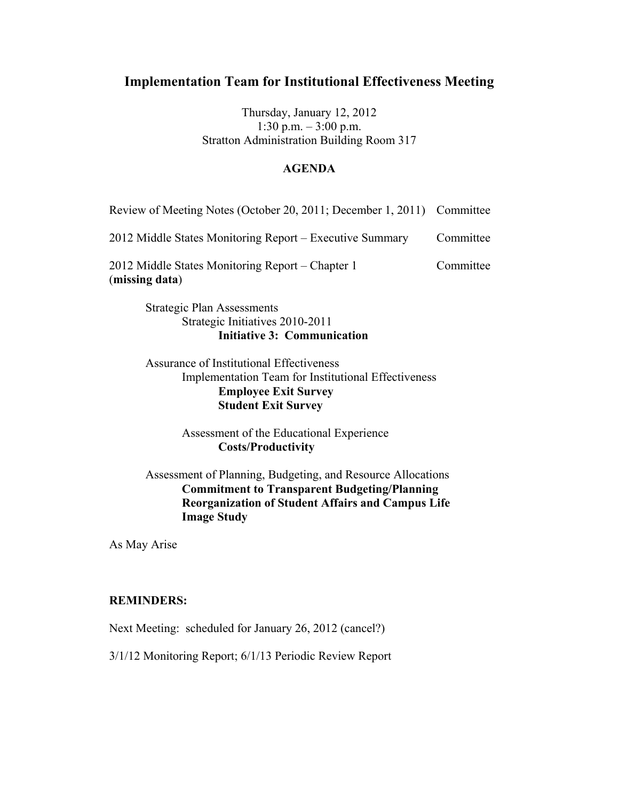Thursday, January 12, 2012 1:30 p.m.  $-3:00$  p.m. Stratton Administration Building Room 317

#### **AGENDA**

| Review of Meeting Notes (October 20, 2011; December 1, 2011) Committee |           |
|------------------------------------------------------------------------|-----------|
| 2012 Middle States Monitoring Report - Executive Summary               | Committee |
| 2012 Middle States Monitoring Report – Chapter 1<br>(missing data)     | Committee |

Strategic Plan Assessments Strategic Initiatives 2010-2011 **Initiative 3: Communication**

Assurance of Institutional Effectiveness Implementation Team for Institutional Effectiveness **Employee Exit Survey Student Exit Survey**

> Assessment of the Educational Experience **Costs/Productivity**

Assessment of Planning, Budgeting, and Resource Allocations **Commitment to Transparent Budgeting/Planning Reorganization of Student Affairs and Campus Life Image Study**

As May Arise

#### **REMINDERS:**

Next Meeting: scheduled for January 26, 2012 (cancel?)